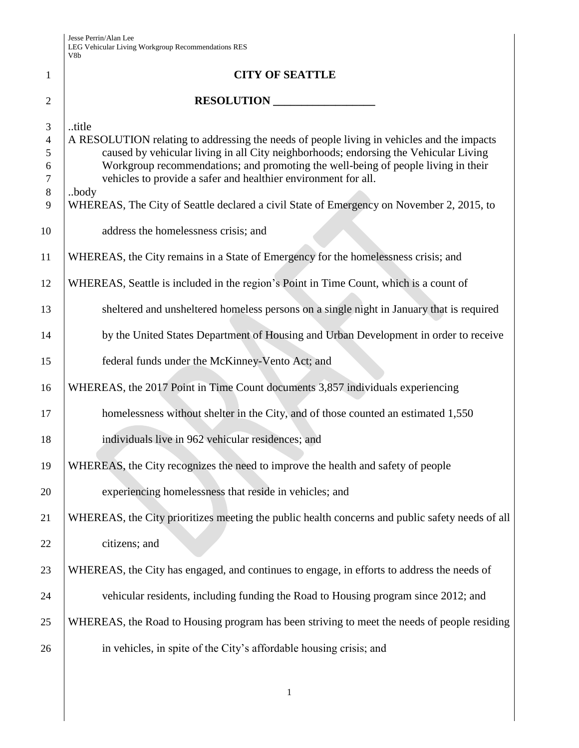|                | V8b                                                                                              |
|----------------|--------------------------------------------------------------------------------------------------|
| $\mathbf{1}$   | <b>CITY OF SEATTLE</b>                                                                           |
| $\overline{2}$ | RESOLUTION                                                                                       |
| 3              | title                                                                                            |
| $\overline{4}$ | A RESOLUTION relating to addressing the needs of people living in vehicles and the impacts       |
| 5              | caused by vehicular living in all City neighborhoods; endorsing the Vehicular Living             |
| 6              | Workgroup recommendations; and promoting the well-being of people living in their                |
| 7              | vehicles to provide a safer and healthier environment for all.                                   |
| $8\,$<br>9     | body<br>WHEREAS, The City of Seattle declared a civil State of Emergency on November 2, 2015, to |
| 10             | address the homelessness crisis; and                                                             |
| 11             | WHEREAS, the City remains in a State of Emergency for the homelessness crisis; and               |
| 12             | WHEREAS, Seattle is included in the region's Point in Time Count, which is a count of            |
| 13             | sheltered and unsheltered homeless persons on a single night in January that is required         |
| 14             | by the United States Department of Housing and Urban Development in order to receive             |
| 15             | federal funds under the McKinney-Vento Act; and                                                  |
| 16             | WHEREAS, the 2017 Point in Time Count documents 3,857 individuals experiencing                   |
| 17             | homelessness without shelter in the City, and of those counted an estimated 1,550                |
| 18             | individuals live in 962 vehicular residences; and                                                |
| 19             | WHEREAS, the City recognizes the need to improve the health and safety of people                 |
| 20             | experiencing homelessness that reside in vehicles; and                                           |
| 21             | WHEREAS, the City prioritizes meeting the public health concerns and public safety needs of all  |
| 22             | citizens; and                                                                                    |
| 23             | WHEREAS, the City has engaged, and continues to engage, in efforts to address the needs of       |
| 24             | vehicular residents, including funding the Road to Housing program since 2012; and               |
| 25             | WHEREAS, the Road to Housing program has been striving to meet the needs of people residing      |
| 26             | in vehicles, in spite of the City's affordable housing crisis; and                               |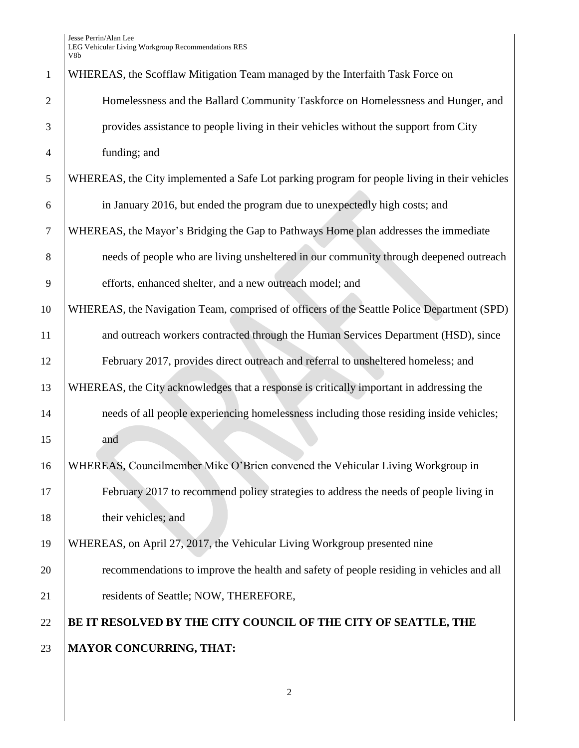| $\mathbf{1}$   | WHEREAS, the Scofflaw Mitigation Team managed by the Interfaith Task Force on                |
|----------------|----------------------------------------------------------------------------------------------|
| $\overline{2}$ | Homelessness and the Ballard Community Taskforce on Homelessness and Hunger, and             |
| 3              | provides assistance to people living in their vehicles without the support from City         |
| $\overline{4}$ | funding; and                                                                                 |
| 5              | WHEREAS, the City implemented a Safe Lot parking program for people living in their vehicles |
| 6              | in January 2016, but ended the program due to unexpectedly high costs; and                   |
| $\tau$         | WHEREAS, the Mayor's Bridging the Gap to Pathways Home plan addresses the immediate          |
| 8              | needs of people who are living unsheltered in our community through deepened outreach        |
| 9              | efforts, enhanced shelter, and a new outreach model; and                                     |
| 10             | WHEREAS, the Navigation Team, comprised of officers of the Seattle Police Department (SPD)   |
| 11             | and outreach workers contracted through the Human Services Department (HSD), since           |
| 12             | February 2017, provides direct outreach and referral to unsheltered homeless; and            |
| 13             | WHEREAS, the City acknowledges that a response is critically important in addressing the     |
| 14             | needs of all people experiencing homelessness including those residing inside vehicles;      |
| 15             | and                                                                                          |
| 16             | WHEREAS, Councilmember Mike O'Brien convened the Vehicular Living Workgroup in               |
| 17             | February 2017 to recommend policy strategies to address the needs of people living in        |
| 18             | their vehicles; and                                                                          |
| 19             | WHEREAS, on April 27, 2017, the Vehicular Living Workgroup presented nine                    |
| 20             | recommendations to improve the health and safety of people residing in vehicles and all      |
| 21             | residents of Seattle; NOW, THEREFORE,                                                        |
| 22             | BE IT RESOLVED BY THE CITY COUNCIL OF THE CITY OF SEATTLE, THE                               |
| 23             | <b>MAYOR CONCURRING, THAT:</b>                                                               |
|                |                                                                                              |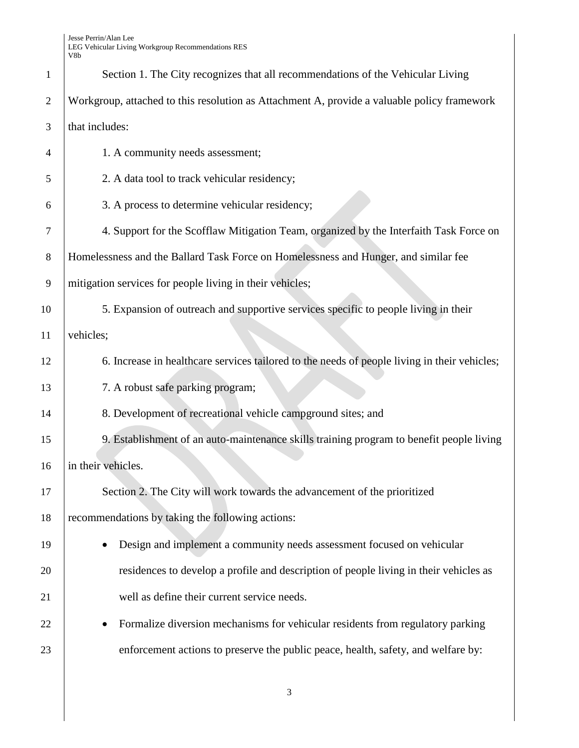| $\mathbf{1}$   | Section 1. The City recognizes that all recommendations of the Vehicular Living              |
|----------------|----------------------------------------------------------------------------------------------|
| $\overline{2}$ | Workgroup, attached to this resolution as Attachment A, provide a valuable policy framework  |
| 3              | that includes:                                                                               |
| $\overline{4}$ | 1. A community needs assessment;                                                             |
| 5              | 2. A data tool to track vehicular residency;                                                 |
| 6              | 3. A process to determine vehicular residency;                                               |
| 7              | 4. Support for the Scofflaw Mitigation Team, organized by the Interfaith Task Force on       |
| 8              | Homelessness and the Ballard Task Force on Homelessness and Hunger, and similar fee          |
| 9              | mitigation services for people living in their vehicles;                                     |
| 10             | 5. Expansion of outreach and supportive services specific to people living in their          |
| 11             | vehicles;                                                                                    |
| 12             | 6. Increase in healthcare services tailored to the needs of people living in their vehicles; |
| 13             | 7. A robust safe parking program;                                                            |
| 14             | 8. Development of recreational vehicle campground sites; and                                 |
| 15             | 9. Establishment of an auto-maintenance skills training program to benefit people living     |
| 16             | in their vehicles.                                                                           |
| 17             | Section 2. The City will work towards the advancement of the prioritized                     |
| 18             | recommendations by taking the following actions:                                             |
| 19             | Design and implement a community needs assessment focused on vehicular                       |
| 20             | residences to develop a profile and description of people living in their vehicles as        |
| 21             | well as define their current service needs.                                                  |
| 22             | Formalize diversion mechanisms for vehicular residents from regulatory parking               |
| 23             | enforcement actions to preserve the public peace, health, safety, and welfare by:            |
|                |                                                                                              |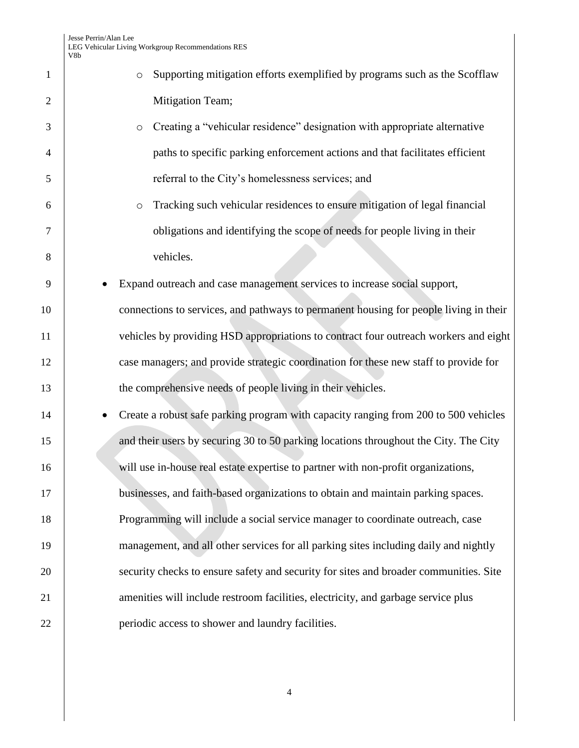| $\mathbf{1}$   | Supporting mitigation efforts exemplified by programs such as the Scofflaw<br>$\circ$ |
|----------------|---------------------------------------------------------------------------------------|
| $\overline{2}$ | Mitigation Team;                                                                      |
| 3              | Creating a "vehicular residence" designation with appropriate alternative<br>$\circ$  |
| $\overline{4}$ | paths to specific parking enforcement actions and that facilitates efficient          |
| 5              | referral to the City's homelessness services; and                                     |
| 6              | Tracking such vehicular residences to ensure mitigation of legal financial<br>$\circ$ |
| 7              | obligations and identifying the scope of needs for people living in their             |
| 8              | vehicles.                                                                             |
| 9              | Expand outreach and case management services to increase social support,              |
| 10             | connections to services, and pathways to permanent housing for people living in their |
| 11             | vehicles by providing HSD appropriations to contract four outreach workers and eight  |
| 12             | case managers; and provide strategic coordination for these new staff to provide for  |
| 13             | the comprehensive needs of people living in their vehicles.                           |
| 14             | Create a robust safe parking program with capacity ranging from 200 to 500 vehicles   |
| 15             | and their users by securing 30 to 50 parking locations throughout the City. The City  |
| 16             | will use in-house real estate expertise to partner with non-profit organizations,     |
| 17             | businesses, and faith-based organizations to obtain and maintain parking spaces.      |
| 18             | Programming will include a social service manager to coordinate outreach, case        |
| 19             | management, and all other services for all parking sites including daily and nightly  |
| 20             | security checks to ensure safety and security for sites and broader communities. Site |
| 21             | amenities will include restroom facilities, electricity, and garbage service plus     |
| 22             | periodic access to shower and laundry facilities.                                     |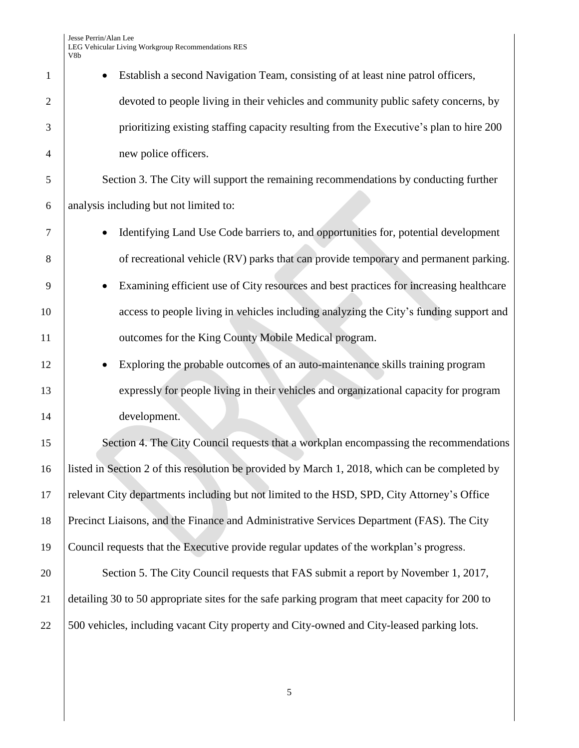Jesse Perrin/Alan Lee LEG Vehicular Living Workgroup Recommendations RES V8b

|                | νου                                                                                             |
|----------------|-------------------------------------------------------------------------------------------------|
| $\mathbf{1}$   | Establish a second Navigation Team, consisting of at least nine patrol officers,                |
| $\overline{2}$ | devoted to people living in their vehicles and community public safety concerns, by             |
| 3              | prioritizing existing staffing capacity resulting from the Executive's plan to hire 200         |
| 4              | new police officers.                                                                            |
| 5              | Section 3. The City will support the remaining recommendations by conducting further            |
| 6              | analysis including but not limited to:                                                          |
| $\overline{7}$ | Identifying Land Use Code barriers to, and opportunities for, potential development             |
| 8              | of recreational vehicle (RV) parks that can provide temporary and permanent parking.            |
| 9              | Examining efficient use of City resources and best practices for increasing healthcare          |
| 10             | access to people living in vehicles including analyzing the City's funding support and          |
| 11             | outcomes for the King County Mobile Medical program.                                            |
| 12             | Exploring the probable outcomes of an auto-maintenance skills training program                  |
| 13             | expressly for people living in their vehicles and organizational capacity for program           |
| 14             | development.                                                                                    |
| 15             | Section 4. The City Council requests that a workplan encompassing the recommendations           |
| 16             | listed in Section 2 of this resolution be provided by March 1, 2018, which can be completed by  |
| 17             | relevant City departments including but not limited to the HSD, SPD, City Attorney's Office     |
| 18             | Precinct Liaisons, and the Finance and Administrative Services Department (FAS). The City       |
| 19             | Council requests that the Executive provide regular updates of the workplan's progress.         |
| 20             | Section 5. The City Council requests that FAS submit a report by November 1, 2017,              |
| 21             | detailing 30 to 50 appropriate sites for the safe parking program that meet capacity for 200 to |
| 22             | 500 vehicles, including vacant City property and City-owned and City-leased parking lots.       |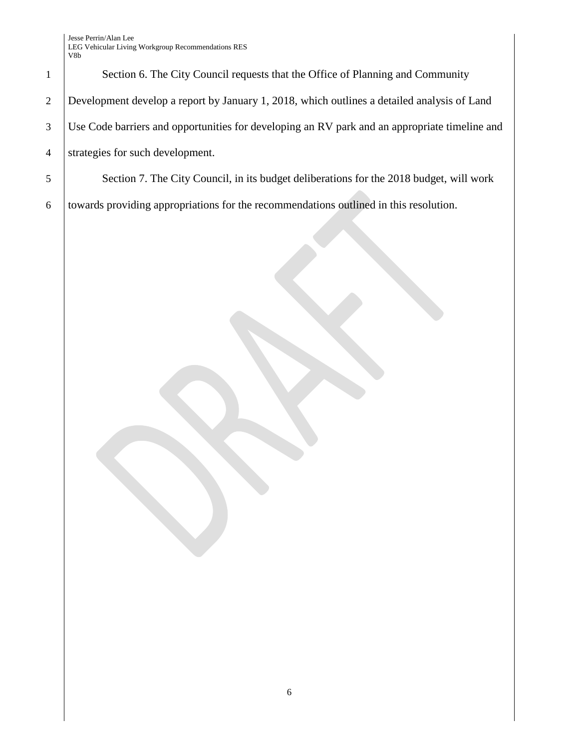Jesse Perrin/Alan Lee LEG Vehicular Living Workgroup Recommendations RES V8b

1 Section 6. The City Council requests that the Office of Planning and Community Development develop a report by January 1, 2018, which outlines a detailed analysis of Land Use Code barriers and opportunities for developing an RV park and an appropriate timeline and strategies for such development.

5 Section 7. The City Council, in its budget deliberations for the 2018 budget, will work 6 towards providing appropriations for the recommendations outlined in this resolution.